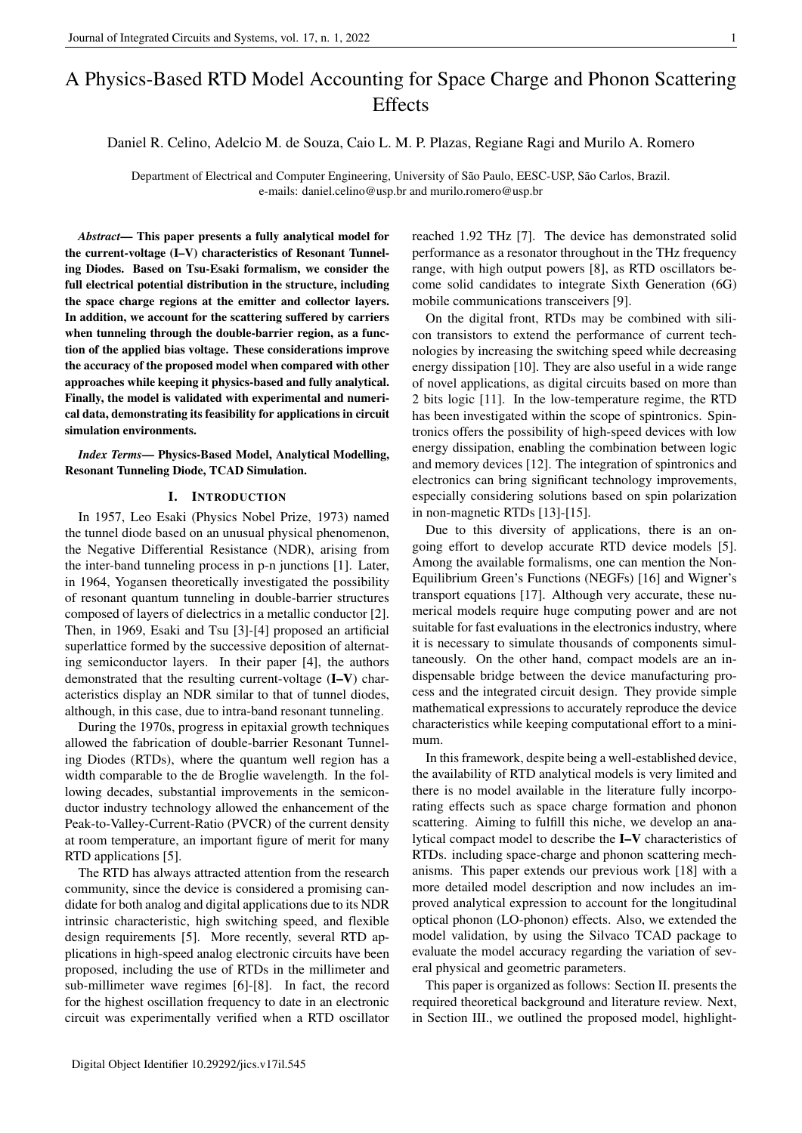# A Physics-Based RTD Model Accounting for Space Charge and Phonon Scattering **Effects**

# Daniel R. Celino, Adelcio M. de Souza, Caio L. M. P. Plazas, Regiane Ragi and Murilo A. Romero

Department of Electrical and Computer Engineering, University of São Paulo, EESC-USP, São Carlos, Brazil. e-mails: daniel.celino@usp.br and murilo.romero@usp.br

*Abstract*— This paper presents a fully analytical model for the current-voltage (I–V) characteristics of Resonant Tunneling Diodes. Based on Tsu-Esaki formalism, we consider the full electrical potential distribution in the structure, including the space charge regions at the emitter and collector layers. In addition, we account for the scattering suffered by carriers when tunneling through the double-barrier region, as a function of the applied bias voltage. These considerations improve the accuracy of the proposed model when compared with other approaches while keeping it physics-based and fully analytical. Finally, the model is validated with experimental and numerical data, demonstrating its feasibility for applications in circuit simulation environments.

*Index Terms*— Physics-Based Model, Analytical Modelling, Resonant Tunneling Diode, TCAD Simulation.

## I. INTRODUCTION

In 1957, Leo Esaki (Physics Nobel Prize, 1973) named the tunnel diode based on an unusual physical phenomenon, the Negative Differential Resistance (NDR), arising from the inter-band tunneling process in p-n junctions [1]. Later, in 1964, Yogansen theoretically investigated the possibility of resonant quantum tunneling in double-barrier structures composed of layers of dielectrics in a metallic conductor [2]. Then, in 1969, Esaki and Tsu [3]-[4] proposed an artificial superlattice formed by the successive deposition of alternating semiconductor layers. In their paper [4], the authors demonstrated that the resulting current-voltage (I–V) characteristics display an NDR similar to that of tunnel diodes, although, in this case, due to intra-band resonant tunneling.

During the 1970s, progress in epitaxial growth techniques allowed the fabrication of double-barrier Resonant Tunneling Diodes (RTDs), where the quantum well region has a width comparable to the de Broglie wavelength. In the following decades, substantial improvements in the semiconductor industry technology allowed the enhancement of the Peak-to-Valley-Current-Ratio (PVCR) of the current density at room temperature, an important figure of merit for many RTD applications [5].

The RTD has always attracted attention from the research community, since the device is considered a promising candidate for both analog and digital applications due to its NDR intrinsic characteristic, high switching speed, and flexible design requirements [5]. More recently, several RTD applications in high-speed analog electronic circuits have been proposed, including the use of RTDs in the millimeter and sub-millimeter wave regimes [6]-[8]. In fact, the record for the highest oscillation frequency to date in an electronic circuit was experimentally verified when a RTD oscillator reached 1.92 THz [7]. The device has demonstrated solid performance as a resonator throughout in the THz frequency range, with high output powers [8], as RTD oscillators become solid candidates to integrate Sixth Generation (6G) mobile communications transceivers [9].

On the digital front, RTDs may be combined with silicon transistors to extend the performance of current technologies by increasing the switching speed while decreasing energy dissipation [10]. They are also useful in a wide range of novel applications, as digital circuits based on more than 2 bits logic [11]. In the low-temperature regime, the RTD has been investigated within the scope of spintronics. Spintronics offers the possibility of high-speed devices with low energy dissipation, enabling the combination between logic and memory devices [12]. The integration of spintronics and electronics can bring significant technology improvements, especially considering solutions based on spin polarization in non-magnetic RTDs [13]-[15].

Due to this diversity of applications, there is an ongoing effort to develop accurate RTD device models [5]. Among the available formalisms, one can mention the Non-Equilibrium Green's Functions (NEGFs) [16] and Wigner's transport equations [17]. Although very accurate, these numerical models require huge computing power and are not suitable for fast evaluations in the electronics industry, where it is necessary to simulate thousands of components simultaneously. On the other hand, compact models are an indispensable bridge between the device manufacturing process and the integrated circuit design. They provide simple mathematical expressions to accurately reproduce the device characteristics while keeping computational effort to a minimum.

In this framework, despite being a well-established device, the availability of RTD analytical models is very limited and there is no model available in the literature fully incorporating effects such as space charge formation and phonon scattering. Aiming to fulfill this niche, we develop an analytical compact model to describe the I–V characteristics of RTDs. including space-charge and phonon scattering mechanisms. This paper extends our previous work [18] with a more detailed model description and now includes an improved analytical expression to account for the longitudinal optical phonon (LO-phonon) effects. Also, we extended the model validation, by using the Silvaco TCAD package to evaluate the model accuracy regarding the variation of several physical and geometric parameters.

This paper is organized as follows: Section II. presents the required theoretical background and literature review. Next, in Section III., we outlined the proposed model, highlight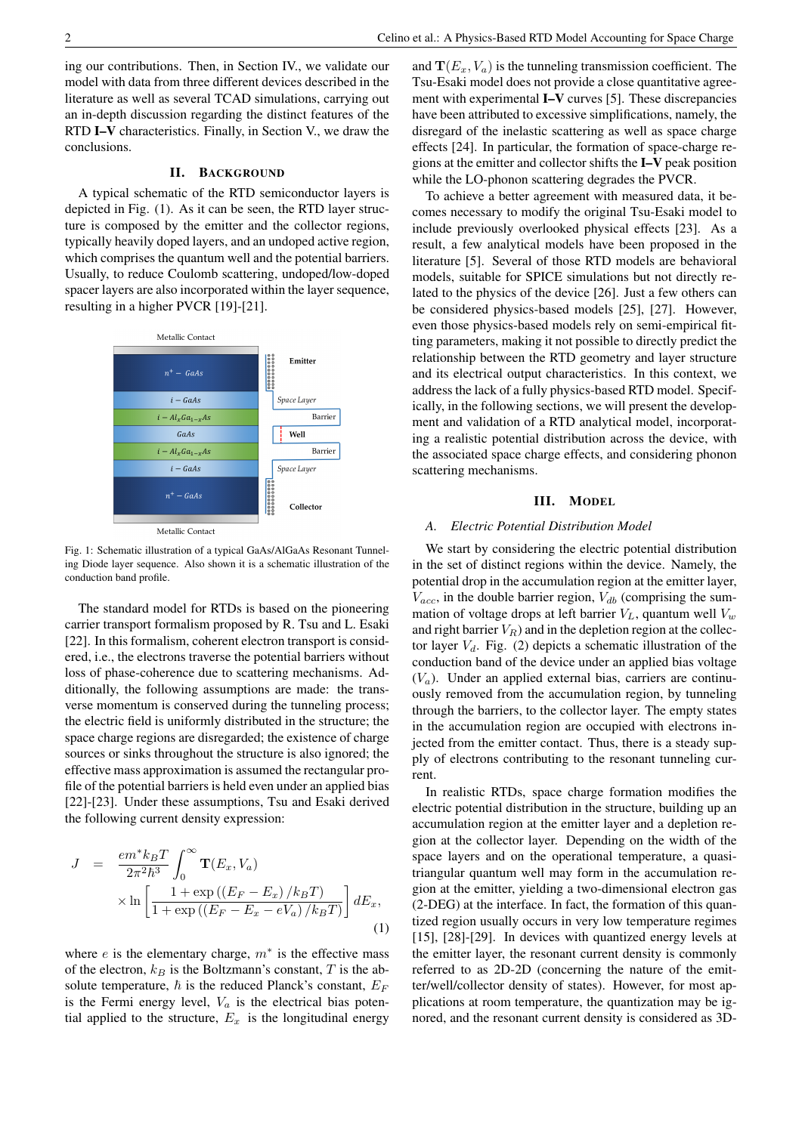ing our contributions. Then, in Section IV., we validate our model with data from three different devices described in the literature as well as several TCAD simulations, carrying out an in-depth discussion regarding the distinct features of the RTD I–V characteristics. Finally, in Section V., we draw the conclusions.

## II. BACKGROUND

A typical schematic of the RTD semiconductor layers is depicted in Fig. (1). As it can be seen, the RTD layer structure is composed by the emitter and the collector regions, typically heavily doped layers, and an undoped active region, which comprises the quantum well and the potential barriers. Usually, to reduce Coulomb scattering, undoped/low-doped spacer layers are also incorporated within the layer sequence, resulting in a higher PVCR [19]-[21].



Metallic Contact

Fig. 1: Schematic illustration of a typical GaAs/AlGaAs Resonant Tunneling Diode layer sequence. Also shown it is a schematic illustration of the conduction band profile.

The standard model for RTDs is based on the pioneering carrier transport formalism proposed by R. Tsu and L. Esaki [22]. In this formalism, coherent electron transport is considered, i.e., the electrons traverse the potential barriers without loss of phase-coherence due to scattering mechanisms. Additionally, the following assumptions are made: the transverse momentum is conserved during the tunneling process; the electric field is uniformly distributed in the structure; the space charge regions are disregarded; the existence of charge sources or sinks throughout the structure is also ignored; the effective mass approximation is assumed the rectangular profile of the potential barriers is held even under an applied bias [22]-[23]. Under these assumptions, Tsu and Esaki derived the following current density expression:

$$
J = \frac{em^* k_B T}{2\pi^2 \hbar^3} \int_0^\infty \mathbf{T}(E_x, V_a)
$$
  
 
$$
\times \ln \left[ \frac{1 + \exp\left((E_F - E_x)/k_B T\right)}{1 + \exp\left((E_F - E_x - eV_a)/k_B T\right)} \right] dE_x,
$$
 (1)

where  $e$  is the elementary charge,  $m^*$  is the effective mass of the electron,  $k_B$  is the Boltzmann's constant, T is the absolute temperature,  $\hbar$  is the reduced Planck's constant,  $E_F$ is the Fermi energy level,  $V_a$  is the electrical bias potential applied to the structure,  $E_x$  is the longitudinal energy and  $\mathbf{T}(E_x, V_a)$  is the tunneling transmission coefficient. The Tsu-Esaki model does not provide a close quantitative agreement with experimental I–V curves [5]. These discrepancies have been attributed to excessive simplifications, namely, the disregard of the inelastic scattering as well as space charge effects [24]. In particular, the formation of space-charge regions at the emitter and collector shifts the I–V peak position while the LO-phonon scattering degrades the PVCR.

To achieve a better agreement with measured data, it becomes necessary to modify the original Tsu-Esaki model to include previously overlooked physical effects [23]. As a result, a few analytical models have been proposed in the literature [5]. Several of those RTD models are behavioral models, suitable for SPICE simulations but not directly related to the physics of the device [26]. Just a few others can be considered physics-based models [25], [27]. However, even those physics-based models rely on semi-empirical fitting parameters, making it not possible to directly predict the relationship between the RTD geometry and layer structure and its electrical output characteristics. In this context, we address the lack of a fully physics-based RTD model. Specifically, in the following sections, we will present the development and validation of a RTD analytical model, incorporating a realistic potential distribution across the device, with the associated space charge effects, and considering phonon scattering mechanisms.

#### III. MODEL

#### *A. Electric Potential Distribution Model*

We start by considering the electric potential distribution in the set of distinct regions within the device. Namely, the potential drop in the accumulation region at the emitter layer,  $V_{acc}$ , in the double barrier region,  $V_{db}$  (comprising the summation of voltage drops at left barrier  $V_L$ , quantum well  $V_w$ and right barrier  $V_R$ ) and in the depletion region at the collector layer  $V_d$ . Fig. (2) depicts a schematic illustration of the conduction band of the device under an applied bias voltage  $(V_a)$ . Under an applied external bias, carriers are continuously removed from the accumulation region, by tunneling through the barriers, to the collector layer. The empty states in the accumulation region are occupied with electrons injected from the emitter contact. Thus, there is a steady supply of electrons contributing to the resonant tunneling current.

In realistic RTDs, space charge formation modifies the electric potential distribution in the structure, building up an accumulation region at the emitter layer and a depletion region at the collector layer. Depending on the width of the space layers and on the operational temperature, a quasitriangular quantum well may form in the accumulation region at the emitter, yielding a two-dimensional electron gas (2-DEG) at the interface. In fact, the formation of this quantized region usually occurs in very low temperature regimes [15], [28]-[29]. In devices with quantized energy levels at the emitter layer, the resonant current density is commonly referred to as 2D-2D (concerning the nature of the emitter/well/collector density of states). However, for most applications at room temperature, the quantization may be ignored, and the resonant current density is considered as 3D-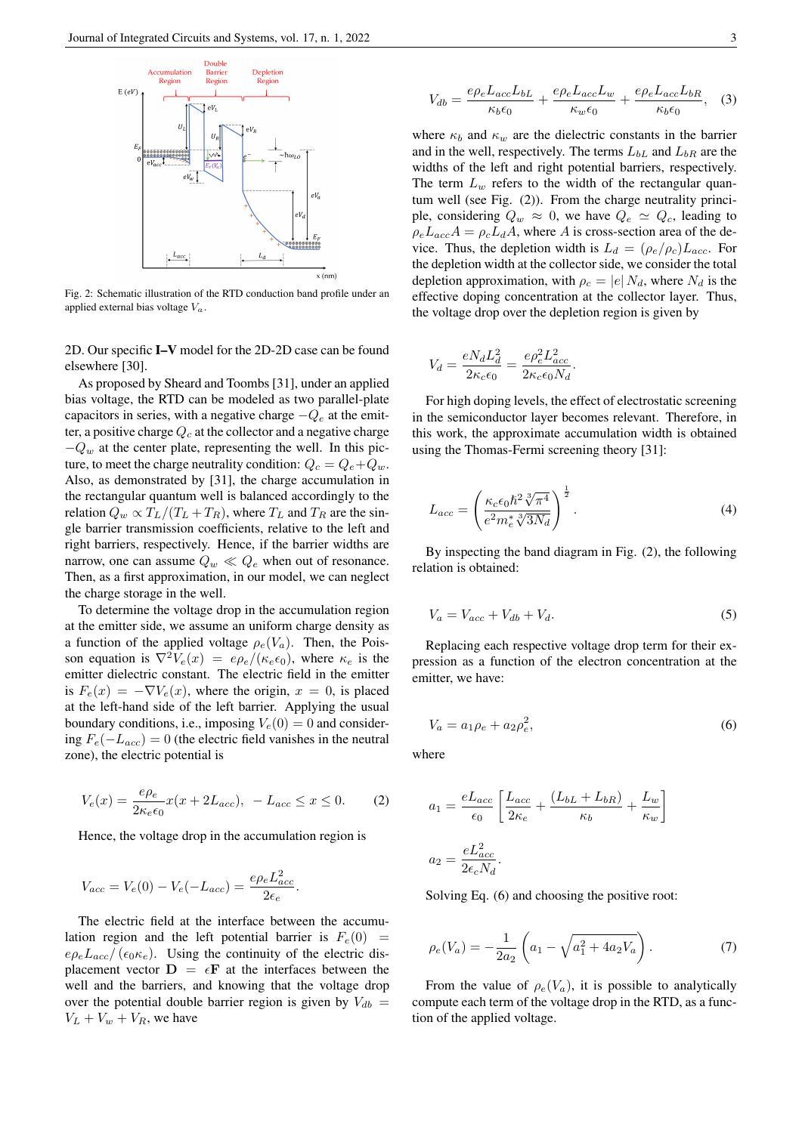

Fig. 2: Schematic illustration of the RTD conduction band profile under an applied external bias voltage  $V_a$ .

2D. Our specific I–V model for the 2D-2D case can be found elsewhere [30].

As proposed by Sheard and Toombs [31], under an applied bias voltage, the RTD can be modeled as two parallel-plate capacitors in series, with a negative charge  $-Q_e$  at the emitter, a positive charge  $Q_c$  at the collector and a negative charge  $-Q_w$  at the center plate, representing the well. In this picture, to meet the charge neutrality condition:  $Q_c = Q_e + Q_w$ . Also, as demonstrated by [31], the charge accumulation in the rectangular quantum well is balanced accordingly to the relation  $Q_w \propto T_L/(T_L + T_R)$ , where  $T_L$  and  $T_R$  are the single barrier transmission coefficients, relative to the left and right barriers, respectively. Hence, if the barrier widths are narrow, one can assume  $Q_w \ll Q_e$  when out of resonance. Then, as a first approximation, in our model, we can neglect the charge storage in the well.

To determine the voltage drop in the accumulation region at the emitter side, we assume an uniform charge density as a function of the applied voltage  $\rho_e(V_a)$ . Then, the Poisson equation is  $\nabla^2 V_e(x) = e\rho_e/(\kappa_e \epsilon_0)$ , where  $\kappa_e$  is the emitter dielectric constant. The electric field in the emitter is  $F_e(x) = -\nabla V_e(x)$ , where the origin,  $x = 0$ , is placed at the left-hand side of the left barrier. Applying the usual boundary conditions, i.e., imposing  $V_e(0) = 0$  and considering  $F_e(-L_{acc}) = 0$  (the electric field vanishes in the neutral zone), the electric potential is

$$
V_e(x) = \frac{e\rho_e}{2\kappa_e\epsilon_0}x(x + 2L_{acc}), \ -L_{acc} \le x \le 0. \tag{2}
$$

Hence, the voltage drop in the accumulation region is

$$
V_{acc} = V_e(0) - V_e(-L_{acc}) = \frac{e\rho_e L_{acc}^2}{2\epsilon_e}.
$$

The electric field at the interface between the accumulation region and the left potential barrier is  $F_e(0)$  =  $e\rho_e L_{acc}/(\epsilon_0 \kappa_e)$ . Using the continuity of the electric displacement vector  $\mathbf{D} = \epsilon \mathbf{F}$  at the interfaces between the well and the barriers, and knowing that the voltage drop over the potential double barrier region is given by  $V_{db}$  =  $V_L + V_w + V_R$ , we have

$$
V_{db} = \frac{e\rho_e L_{acc} L_{bL}}{\kappa_b \epsilon_0} + \frac{e\rho_e L_{acc} L_w}{\kappa_w \epsilon_0} + \frac{e\rho_e L_{acc} L_{bR}}{\kappa_b \epsilon_0}, \quad (3)
$$

where  $\kappa_b$  and  $\kappa_w$  are the dielectric constants in the barrier and in the well, respectively. The terms  $L_{bL}$  and  $L_{bR}$  are the widths of the left and right potential barriers, respectively. The term  $L_w$  refers to the width of the rectangular quantum well (see Fig. (2)). From the charge neutrality principle, considering  $Q_w \approx 0$ , we have  $Q_e \approx Q_c$ , leading to  $\rho_e L_{acc} A = \rho_c L_d A$ , where A is cross-section area of the device. Thus, the depletion width is  $L_d = (\rho_e/\rho_c)L_{acc}$ . For the depletion width at the collector side, we consider the total depletion approximation, with  $\rho_c = |e| N_d$ , where  $N_d$  is the effective doping concentration at the collector layer. Thus, the voltage drop over the depletion region is given by

$$
V_d = \frac{eN_d L_d^2}{2\kappa_c \epsilon_0} = \frac{e\rho_e^2 L_{acc}^2}{2\kappa_c \epsilon_0 N_d}.
$$

For high doping levels, the effect of electrostatic screening in the semiconductor layer becomes relevant. Therefore, in this work, the approximate accumulation width is obtained using the Thomas-Fermi screening theory [31]:

$$
L_{acc} = \left(\frac{\kappa_c \epsilon_0 \hbar^2 \sqrt[3]{\pi^4}}{e^2 m_e^* \sqrt[3]{3N_d}}\right)^{\frac{1}{2}}.
$$
\n(4)

By inspecting the band diagram in Fig. (2), the following relation is obtained:

$$
V_a = V_{acc} + V_{db} + V_d. \tag{5}
$$

Replacing each respective voltage drop term for their expression as a function of the electron concentration at the emitter, we have:

$$
V_a = a_1 \rho_e + a_2 \rho_e^2,\tag{6}
$$

where

$$
a_1 = \frac{eL_{acc}}{\epsilon_0} \left[ \frac{L_{acc}}{2\kappa_e} + \frac{(L_{bL} + L_{bR})}{\kappa_b} + \frac{L_w}{\kappa_w} \right]
$$

$$
a_2 = \frac{eL_{acc}^2}{2\epsilon_c N_d}.
$$

Solving Eq. (6) and choosing the positive root:

$$
\rho_e(V_a) = -\frac{1}{2a_2} \left( a_1 - \sqrt{a_1^2 + 4a_2 V_a} \right). \tag{7}
$$

From the value of  $\rho_e(V_a)$ , it is possible to analytically compute each term of the voltage drop in the RTD, as a function of the applied voltage.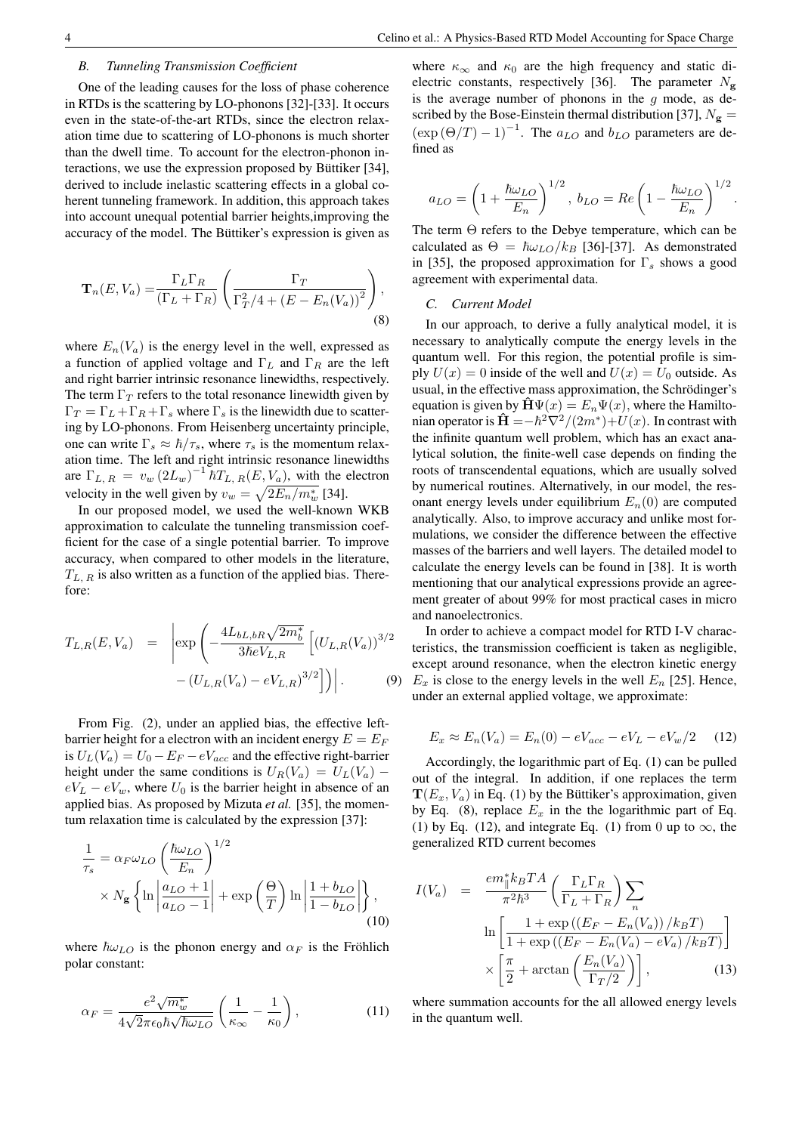#### *B. Tunneling Transmission Coefficient*

One of the leading causes for the loss of phase coherence in RTDs is the scattering by LO-phonons [32]-[33]. It occurs even in the state-of-the-art RTDs, since the electron relaxation time due to scattering of LO-phonons is much shorter than the dwell time. To account for the electron-phonon interactions, we use the expression proposed by Büttiker [34], derived to include inelastic scattering effects in a global coherent tunneling framework. In addition, this approach takes into account unequal potential barrier heights,improving the accuracy of the model. The Büttiker's expression is given as

$$
\mathbf{T}_n(E, V_a) = \frac{\Gamma_L \Gamma_R}{(\Gamma_L + \Gamma_R)} \left( \frac{\Gamma_T}{\Gamma_T^2 / 4 + (E - E_n(V_a))^2} \right),\tag{8}
$$

where  $E_n(V_a)$  is the energy level in the well, expressed as a function of applied voltage and  $\Gamma_L$  and  $\Gamma_R$  are the left and right barrier intrinsic resonance linewidths, respectively. The term  $\Gamma_T$  refers to the total resonance linewidth given by  $\Gamma_T = \Gamma_L + \Gamma_R + \Gamma_s$  where  $\Gamma_s$  is the linewidth due to scattering by LO-phonons. From Heisenberg uncertainty principle, one can write  $\Gamma_s \approx \hbar / \tau_s$ , where  $\tau_s$  is the momentum relaxation time. The left and right intrinsic resonance linewidths are  $\Gamma_{L, R} = v_w (2L_w)^{-1} \hbar T_{L, R}(E, V_a)$ , with the electron velocity in the well given by  $v_w = \sqrt{2E_n/m_w^*}$  [34].

In our proposed model, we used the well-known WKB approximation to calculate the tunneling transmission coefficient for the case of a single potential barrier. To improve accuracy, when compared to other models in the literature,  $T_{L, R}$  is also written as a function of the applied bias. Therefore:

$$
T_{L,R}(E, V_a) = \left| \exp \left( -\frac{4L_{bL,bR}\sqrt{2m_b^*}}{3\hbar eV_{L,R}} \left[ (U_{L,R}(V_a))^{3/2} - (U_{L,R}(V_a) - eV_{L,R})^{3/2} \right] \right) \right|.
$$
 (9)

From Fig. (2), under an applied bias, the effective leftbarrier height for a electron with an incident energy  $E = E_F$ is  $U_L(V_a) = U_0 - E_F - eV_{acc}$  and the effective right-barrier height under the same conditions is  $U_R(V_a) = U_L(V_a)$  –  $eV_L - eV_w$ , where  $U_0$  is the barrier height in absence of an applied bias. As proposed by Mizuta *et al.* [35], the momentum relaxation time is calculated by the expression [37]:

$$
\frac{1}{\tau_s} = \alpha_F \omega_{LO} \left( \frac{\hbar \omega_{LO}}{E_n} \right)^{1/2} \times N_{\mathbf{g}} \left\{ \ln \left| \frac{a_{LO} + 1}{a_{LO} - 1} \right| + \exp \left( \frac{\Theta}{T} \right) \ln \left| \frac{1 + b_{LO}}{1 - b_{LO}} \right| \right\},\tag{10}
$$

where  $\hbar \omega_{LO}$  is the phonon energy and  $\alpha_F$  is the Fröhlich polar constant:

$$
\alpha_F = \frac{e^2 \sqrt{m_w^*}}{4\sqrt{2\pi\epsilon_0\hbar\sqrt{\hbar\omega_{LO}}}} \left(\frac{1}{\kappa_\infty} - \frac{1}{\kappa_0}\right),\tag{11}
$$

where  $\kappa_{\infty}$  and  $\kappa_0$  are the high frequency and static dielectric constants, respectively [36]. The parameter  $N_{\rm g}$ is the average number of phonons in the  $g$  mode, as described by the Bose-Einstein thermal distribution [37],  $N_{\rm g}$  =  $(\exp (\Theta/T) - 1)^{-1}$ . The  $a_{LO}$  and  $b_{LO}$  parameters are defined as

$$
a_{LO}=\left(1+\frac{\hbar\omega_{LO}}{E_n}\right)^{1/2},\;b_{LO}=Re\left(1-\frac{\hbar\omega_{LO}}{E_n}\right)^{1/2}.
$$

The term Θ refers to the Debye temperature, which can be calculated as  $\Theta = \hbar \omega_{LO}/k_B$  [36]-[37]. As demonstrated in [35], the proposed approximation for  $\Gamma_s$  shows a good agreement with experimental data.

#### *C. Current Model*

In our approach, to derive a fully analytical model, it is necessary to analytically compute the energy levels in the quantum well. For this region, the potential profile is simply  $U(x) = 0$  inside of the well and  $U(x) = U_0$  outside. As usual, in the effective mass approximation, the Schrödinger's equation is given by  $\hat{H}\Psi(x) = E_n \Psi(x)$ , where the Hamiltonian operator is  $\hat{H} = -\hbar^2 \nabla^2/(2m^*) + U(x)$ . In contrast with the infinite quantum well problem, which has an exact analytical solution, the finite-well case depends on finding the roots of transcendental equations, which are usually solved by numerical routines. Alternatively, in our model, the resonant energy levels under equilibrium  $E_n(0)$  are computed analytically. Also, to improve accuracy and unlike most formulations, we consider the difference between the effective masses of the barriers and well layers. The detailed model to calculate the energy levels can be found in [38]. It is worth mentioning that our analytical expressions provide an agreement greater of about 99% for most practical cases in micro and nanoelectronics.

In order to achieve a compact model for RTD I-V characteristics, the transmission coefficient is taken as negligible, except around resonance, when the electron kinetic energy  $E<sub>x</sub>$  is close to the energy levels in the well  $E<sub>n</sub>$  [25]. Hence, under an external applied voltage, we approximate:

$$
E_x \approx E_n(V_a) = E_n(0) - eV_{acc} - eV_L - eV_w/2 \tag{12}
$$

Accordingly, the logarithmic part of Eq. (1) can be pulled out of the integral. In addition, if one replaces the term  $\mathbf{T}(E_x, V_a)$  in Eq. (1) by the Büttiker's approximation, given by Eq. (8), replace  $E_x$  in the the logarithmic part of Eq. (1) by Eq. (12), and integrate Eq. (1) from 0 up to  $\infty$ , the generalized RTD current becomes

$$
I(V_a) = \frac{em_{\parallel}^* k_B T A}{\pi^2 \hbar^3} \left( \frac{\Gamma_L \Gamma_R}{\Gamma_L + \Gamma_R} \right) \sum_n
$$
  

$$
\ln \left[ \frac{1 + \exp\left((E_F - E_n(V_a))/k_B T\right)}{1 + \exp\left((E_F - E_n(V_a) - eV_a)/k_B T\right)} \right]
$$
  

$$
\times \left[ \frac{\pi}{2} + \arctan\left(\frac{E_n(V_a)}{\Gamma_T/2}\right) \right],
$$
(13)

where summation accounts for the all allowed energy levels in the quantum well.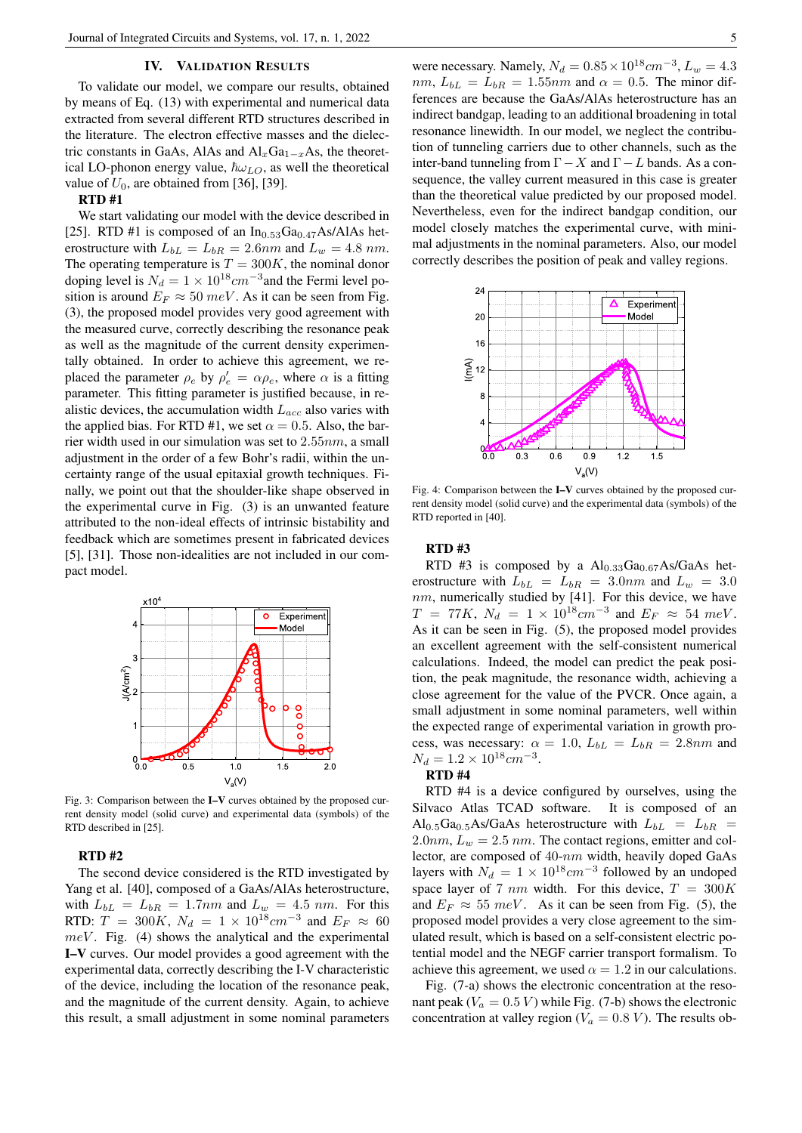#### IV. VALIDATION RESULTS

To validate our model, we compare our results, obtained by means of Eq. (13) with experimental and numerical data extracted from several different RTD structures described in the literature. The electron effective masses and the dielectric constants in GaAs, AlAs and  $\text{Al}_x\text{Ga}_{1-x}\text{As}$ , the theoretical LO-phonon energy value,  $\hbar \omega_{LO}$ , as well the theoretical value of  $U_0$ , are obtained from [36], [39].

#### RTD #1

We start validating our model with the device described in [25]. RTD #1 is composed of an  $In_{0.53}Ga_{0.47}As/AlAs$  heterostructure with  $L_{bL} = L_{bR} = 2.6nm$  and  $L_w = 4.8 nm$ . The operating temperature is  $T = 300K$ , the nominal donor doping level is  $N_d = 1 \times 10^{18} cm^{-3}$  and the Fermi level position is around  $E_F \approx 50$  meV. As it can be seen from Fig. (3), the proposed model provides very good agreement with the measured curve, correctly describing the resonance peak as well as the magnitude of the current density experimentally obtained. In order to achieve this agreement, we replaced the parameter  $\rho_e$  by  $\rho'_e = \alpha \rho_e$ , where  $\alpha$  is a fitting parameter. This fitting parameter is justified because, in realistic devices, the accumulation width  $L_{acc}$  also varies with the applied bias. For RTD #1, we set  $\alpha = 0.5$ . Also, the barrier width used in our simulation was set to  $2.55nm$ , a small adjustment in the order of a few Bohr's radii, within the uncertainty range of the usual epitaxial growth techniques. Finally, we point out that the shoulder-like shape observed in the experimental curve in Fig. (3) is an unwanted feature attributed to the non-ideal effects of intrinsic bistability and feedback which are sometimes present in fabricated devices [5], [31]. Those non-idealities are not included in our compact model.



Fig. 3: Comparison between the I–V curves obtained by the proposed current density model (solid curve) and experimental data (symbols) of the RTD described in [25].

#### RTD #2

The second device considered is the RTD investigated by Yang et al. [40], composed of a GaAs/AlAs heterostructure, with  $L_{bL} = L_{bR} = 1.7nm$  and  $L_w = 4.5 nm$ . For this RTD:  $T = 300K$ ,  $N_d = 1 \times 10^{18} cm^{-3}$  and  $E_F \approx 60$  $meV$ . Fig. (4) shows the analytical and the experimental I–V curves. Our model provides a good agreement with the experimental data, correctly describing the I-V characteristic of the device, including the location of the resonance peak, and the magnitude of the current density. Again, to achieve this result, a small adjustment in some nominal parameters

were necessary. Namely,  $N_d = 0.85 \times 10^{18} cm^{-3}$ ,  $L_w = 4.3$ nm,  $L_{bL} = L_{bR} = 1.55$ nm and  $\alpha = 0.5$ . The minor differences are because the GaAs/AlAs heterostructure has an indirect bandgap, leading to an additional broadening in total resonance linewidth. In our model, we neglect the contribution of tunneling carriers due to other channels, such as the inter-band tunneling from  $\Gamma - X$  and  $\Gamma - L$  bands. As a consequence, the valley current measured in this case is greater than the theoretical value predicted by our proposed model. Nevertheless, even for the indirect bandgap condition, our model closely matches the experimental curve, with minimal adjustments in the nominal parameters. Also, our model correctly describes the position of peak and valley regions.



Fig. 4: Comparison between the I–V curves obtained by the proposed current density model (solid curve) and the experimental data (symbols) of the RTD reported in [40].

# RTD #3

RTD #3 is composed by a  $Al<sub>0.33</sub>Ga<sub>0.67</sub>As/GaAs$  heterostructure with  $L_{bL} = L_{bR} = 3.0nm$  and  $L_w = 3.0$ nm, numerically studied by [41]. For this device, we have  $T = 77K$ ,  $N_d = 1 \times 10^{18} cm^{-3}$  and  $E_F \approx 54$  meV. As it can be seen in Fig. (5), the proposed model provides an excellent agreement with the self-consistent numerical calculations. Indeed, the model can predict the peak position, the peak magnitude, the resonance width, achieving a close agreement for the value of the PVCR. Once again, a small adjustment in some nominal parameters, well within the expected range of experimental variation in growth process, was necessary:  $\alpha = 1.0$ ,  $L_{bL} = L_{bR} = 2.8nm$  and  $N_d = 1.2 \times 10^{18} cm^{-3}.$ 

# RTD #4

RTD #4 is a device configured by ourselves, using the Silvaco Atlas TCAD software. It is composed of an Al<sub>0.5</sub>Ga<sub>0.5</sub>As/GaAs heterostructure with  $L_{bL} = L_{bR}$  $2.0nm$ ,  $L_w = 2.5$  nm. The contact regions, emitter and collector, are composed of 40-nm width, heavily doped GaAs layers with  $N_d = 1 \times 10^{18} cm^{-3}$  followed by an undoped space layer of 7 nm width. For this device,  $T = 300K$ and  $E_F \approx 55$  meV. As it can be seen from Fig. (5), the proposed model provides a very close agreement to the simulated result, which is based on a self-consistent electric potential model and the NEGF carrier transport formalism. To achieve this agreement, we used  $\alpha = 1.2$  in our calculations.

Fig. (7-a) shows the electronic concentration at the resonant peak ( $V_a = 0.5 V$ ) while Fig. (7-b) shows the electronic concentration at valley region ( $V_a = 0.8 V$ ). The results ob-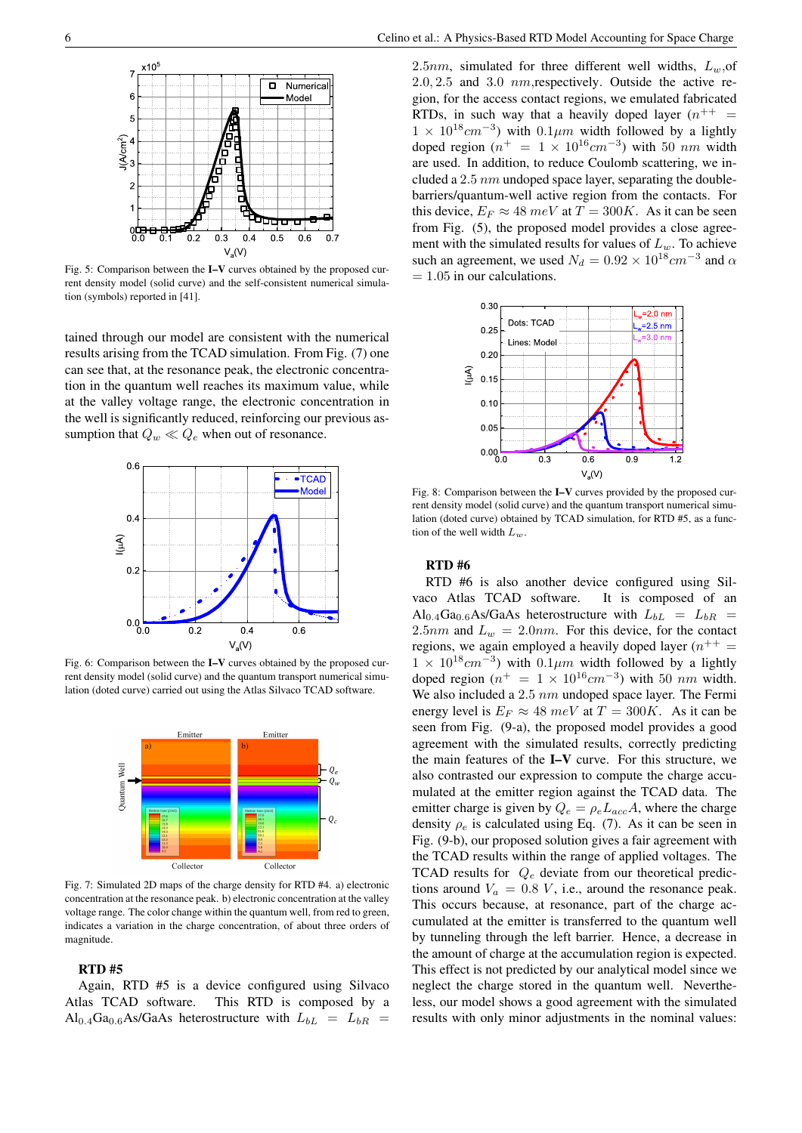

 $-$ 

0.0 0.1 0.2 0.3 0.4 0.5 0.6 0.7

. . . . . . <sup>a</sup>

tained through our model are consistent with the numerical results arising from the TCAD simulation. From Fig. (7) one can see that, at the resonance peak, the electronic concentration in the quantum well reaches its maximum value, while at the valley voltage range, the electronic concentration in the well is significantly reduced, reinforcing our previous assumption that  $Q_w \ll Q_e$  when out of resonance.



Fig. 6: Comparison between the I–V curves obtained by the proposed current density model (solid curve) and the quantum transport numerical simulation (doted curve) carried out using the Atlas Silvaco TCAD software.



Fig. 7: Simulated 2D maps of the charge density for RTD #4. a) electronic concentration at the resonance peak. b) electronic concentration at the valley voltage range. The color change within the quantum well, from red to green, indicates a variation in the charge concentration, of about three orders of magnitude.

#### RTD #5

Again, RTD #5 is a device configured using Silvaco Atlas TCAD software. This RTD is composed by a Al<sub>0.4</sub>Ga<sub>0.6</sub>As/GaAs heterostructure with  $L_{bL} = L_{bR}$ 

2.5nm, simulated for three different well widths,  $L_w$ , of 2.0, 2.5 and 3.0 nm,respectively. Outside the active region, for the access contact regions, we emulated fabricated RTDs, in such way that a heavily doped layer  $(n^{++})$  $1 \times 10^{18}$  cm<sup>-3</sup>) with 0.1 $\mu$ m width followed by a lightly doped region ( $n^+ = 1 \times 10^{16}$ cm<sup>-3</sup>) with 50 nm width are used. In addition, to reduce Coulomb scattering, we included a 2.5  $nm$  undoped space layer, separating the doublebarriers/quantum-well active region from the contacts. For this device,  $E_F \approx 48 \ meV$  at  $T = 300K$ . As it can be seen from Fig. (5), the proposed model provides a close agreement with the simulated results for values of  $L_w$ . To achieve such an agreement, we used  $N_d = 0.92 \times 10^{18} \text{cm}^{-3}$  and  $\alpha$  $= 1.05$  in our calculations.



Fig. 8: Comparison between the I–V curves provided by the proposed current density model (solid curve) and the quantum transport numerical simulation (doted curve) obtained by TCAD simulation, for RTD #5, as a function of the well width  $L_w$ .

#### RTD #6

RTD #6 is also another device configured using Silvaco Atlas TCAD software. It is composed of an  $Al_{0.4}Ga_{0.6}As/GaAs$  heterostructure with  $L_{bL} = L_{bR}$ 2.5nm and  $L_w = 2.0nm$ . For this device, for the contact regions, we again employed a heavily doped layer  $(n^{++})$  $1 \times 10^{18}$ cm<sup>-3</sup>) with 0.1 $\mu$ m width followed by a lightly doped region  $(n^{+} = 1 \times 10^{16} cm^{-3})$  with 50 nm width. We also included a 2.5 nm undoped space layer. The Fermi energy level is  $E_F \approx 48 \ meV$  at  $T = 300K$ . As it can be seen from Fig. (9-a), the proposed model provides a good agreement with the simulated results, correctly predicting the main features of the I–V curve. For this structure, we also contrasted our expression to compute the charge accumulated at the emitter region against the TCAD data. The emitter charge is given by  $Q_e = \rho_e L_{acc} A$ , where the charge density  $\rho_e$  is calculated using Eq. (7). As it can be seen in Fig. (9-b), our proposed solution gives a fair agreement with the TCAD results within the range of applied voltages. The TCAD results for  $Q_e$  deviate from our theoretical predictions around  $V_a = 0.8 V$ , i.e., around the resonance peak. This occurs because, at resonance, part of the charge accumulated at the emitter is transferred to the quantum well by tunneling through the left barrier. Hence, a decrease in the amount of charge at the accumulation region is expected. This effect is not predicted by our analytical model since we neglect the charge stored in the quantum well. Nevertheless, our model shows a good agreement with the simulated results with only minor adjustments in the nominal values: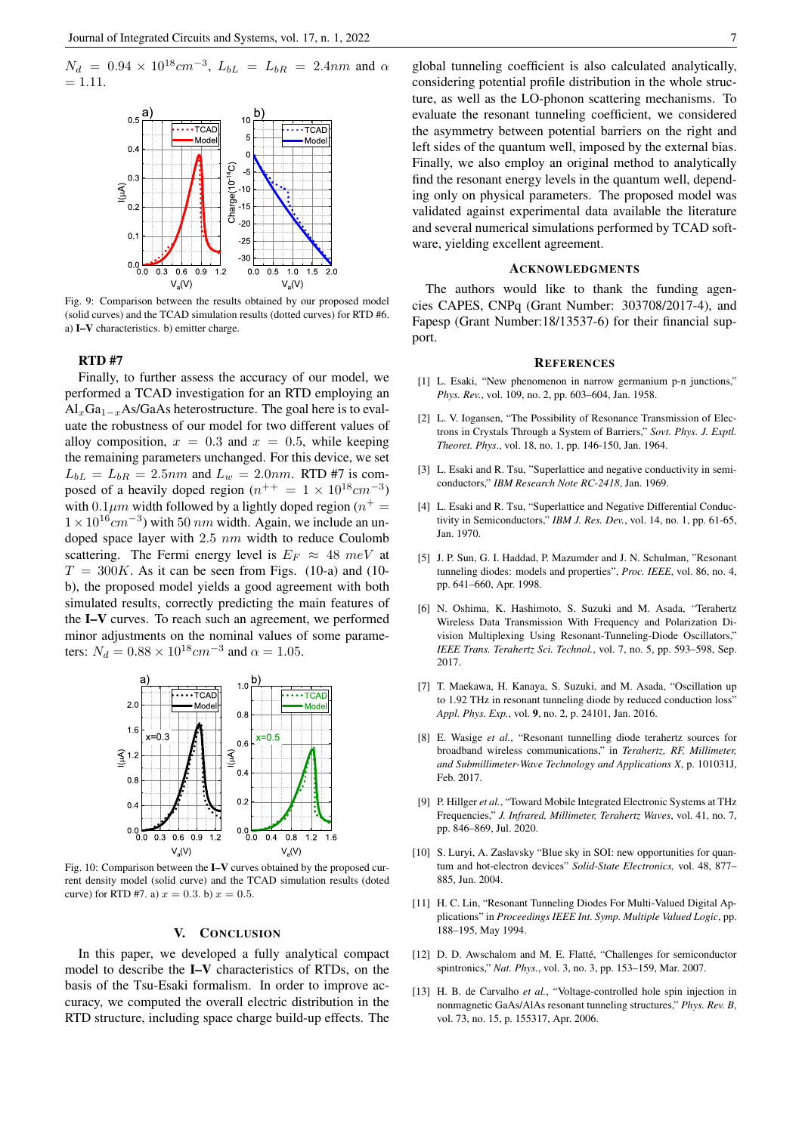$N_d$  = 0.94 × 10<sup>18</sup> $cm^{-3}$ ,  $L_{bL}$  =  $L_{bR}$  = 2.4nm and  $\alpha$  $= 1.11.$ 



Fig. 9: Comparison between the results obtained by our proposed model (solid curves) and the TCAD simulation results (dotted curves) for RTD #6. a) I–V characteristics. b) emitter charge.

#### RTD #7

Finally, to further assess the accuracy of our model, we performed a TCAD investigation for an RTD employing an  $\text{Al}_x\text{Ga}_{1-x}\text{As/GaAs heterostructure}$ . The goal here is to evaluate the robustness of our model for two different values of alloy composition,  $x = 0.3$  and  $x = 0.5$ , while keeping the remaining parameters unchanged. For this device, we set  $L_{bL} = L_{bR} = 2.5nm$  and  $L_w = 2.0nm$ . RTD #7 is composed of a heavily doped region  $(n^{++} = 1 \times 10^{18} cm^{-3})$ with 0.1 $\mu$ m width followed by a lightly doped region ( $n^+$  =  $1 \times 10^{16}$  cm<sup>-3</sup>) with 50 nm width. Again, we include an undoped space layer with  $2.5 \ nm$  width to reduce Coulomb scattering. The Fermi energy level is  $E_F \approx 48$  meV at  $T = 300K$ . As it can be seen from Figs. (10-a) and (10b), the proposed model yields a good agreement with both simulated results, correctly predicting the main features of the I–V curves. To reach such an agreement, we performed minor adjustments on the nominal values of some parameters:  $N_d = 0.88 \times 10^{18} cm^{-3}$  and  $\alpha = 1.05$ .



Fig. 10: Comparison between the I–V curves obtained by the proposed current density model (solid curve) and the TCAD simulation results (doted curve) for RTD #7. a)  $x = 0.3$ . b)  $x = 0.5$ .

#### V. CONCLUSION

In this paper, we developed a fully analytical compact model to describe the I–V characteristics of RTDs, on the basis of the Tsu-Esaki formalism. In order to improve accuracy, we computed the overall electric distribution in the RTD structure, including space charge build-up effects. The global tunneling coefficient is also calculated analytically, considering potential profile distribution in the whole structure, as well as the LO-phonon scattering mechanisms. To evaluate the resonant tunneling coefficient, we considered the asymmetry between potential barriers on the right and left sides of the quantum well, imposed by the external bias. Finally, we also employ an original method to analytically find the resonant energy levels in the quantum well, depending only on physical parameters. The proposed model was validated against experimental data available the literature and several numerical simulations performed by TCAD software, yielding excellent agreement.

#### ACKNOWLEDGMENTS

The authors would like to thank the funding agencies CAPES, CNPq (Grant Number: 303708/2017-4), and Fapesp (Grant Number:18/13537-6) for their financial support.

#### **REFERENCES**

- [1] L. Esaki, "New phenomenon in narrow germanium p-n junctions," *Phys. Rev.*, vol. 109, no. 2, pp. 603–604, Jan. 1958.
- [2] L. V. Iogansen, "The Possibility of Resonance Transmission of Electrons in Crystals Through a System of Barriers," *Sovt. Phys. J. Exptl. Theoret. Phys*., vol. 18, no. 1, pp. 146-150, Jan. 1964.
- [3] L. Esaki and R. Tsu, "Superlattice and negative conductivity in semiconductors," *IBM Research Note RC-2418*, Jan. 1969.
- [4] L. Esaki and R. Tsu, "Superlattice and Negative Differential Conductivity in Semiconductors," *IBM J. Res. Dev.*, vol. 14, no. 1, pp. 61-65, Jan. 1970.
- [5] J. P. Sun, G. I. Haddad, P. Mazumder and J. N. Schulman, "Resonant tunneling diodes: models and properties", *Proc. IEEE*, vol. 86, no. 4, pp. 641–660, Apr. 1998.
- [6] N. Oshima, K. Hashimoto, S. Suzuki and M. Asada, "Terahertz Wireless Data Transmission With Frequency and Polarization Division Multiplexing Using Resonant-Tunneling-Diode Oscillators," *IEEE Trans. Terahertz Sci. Technol.*, vol. 7, no. 5, pp. 593–598, Sep. 2017.
- [7] T. Maekawa, H. Kanaya, S. Suzuki, and M. Asada, "Oscillation up to 1.92 THz in resonant tunneling diode by reduced conduction loss" *Appl. Phys. Exp.*, vol. 9, no. 2, p. 24101, Jan. 2016.
- [8] E. Wasige *et al.*, "Resonant tunnelling diode terahertz sources for broadband wireless communications," in *Terahertz, RF, Millimeter, and Submillimeter-Wave Technology and Applications X*, p. 101031J, Feb. 2017.
- [9] P. Hillger *et al.*, "Toward Mobile Integrated Electronic Systems at THz Frequencies," *J. Infrared, Millimeter, Terahertz Waves*, vol. 41, no. 7, pp. 846–869, Jul. 2020.
- [10] S. Luryi, A. Zaslavsky "Blue sky in SOI: new opportunities for quantum and hot-electron devices" *Solid-State Electronics,* vol. 48, 877– 885, Jun. 2004.
- [11] H. C. Lin, "Resonant Tunneling Diodes For Multi-Valued Digital Applications" in *Proceedings IEEE Int. Symp. Multiple Valued Logic*, pp. 188–195, May 1994.
- [12] D. D. Awschalom and M. E. Flatté, "Challenges for semiconductor spintronics," *Nat. Phys.*, vol. 3, no. 3, pp. 153–159, Mar. 2007.
- [13] H. B. de Carvalho *et al.*, "Voltage-controlled hole spin injection in nonmagnetic GaAs/AlAs resonant tunneling structures," *Phys. Rev. B*, vol. 73, no. 15, p. 155317, Apr. 2006.